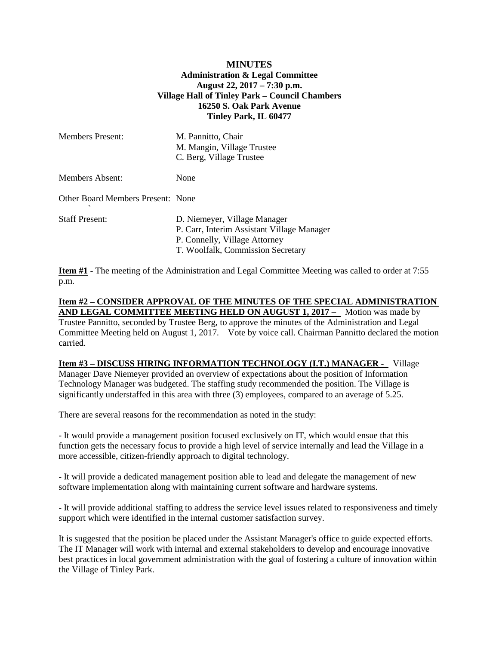### **MINUTES Administration & Legal Committee August 22, 2017 – 7:30 p.m. Village Hall of Tinley Park – Council Chambers 16250 S. Oak Park Avenue Tinley Park, IL 60477**

| <b>Members Present:</b>           | M. Pannitto, Chair<br>M. Mangin, Village Trustee<br>C. Berg, Village Trustee                                                                     |
|-----------------------------------|--------------------------------------------------------------------------------------------------------------------------------------------------|
| Members Absent:                   | None                                                                                                                                             |
| Other Board Members Present: None |                                                                                                                                                  |
| <b>Staff Present:</b>             | D. Niemeyer, Village Manager<br>P. Carr, Interim Assistant Village Manager<br>P. Connelly, Village Attorney<br>T. Woolfalk, Commission Secretary |

**Item #1** - The meeting of the Administration and Legal Committee Meeting was called to order at 7:55 p.m.

# **Item #2 – CONSIDER APPROVAL OF THE MINUTES OF THE SPECIAL ADMINISTRATION AND LEGAL COMMITTEE MEETING HELD ON AUGUST 1, 2017 –** Motion was made by

Trustee Pannitto, seconded by Trustee Berg, to approve the minutes of the Administration and Legal Committee Meeting held on August 1, 2017. Vote by voice call. Chairman Pannitto declared the motion carried.

#### **Item #3 – DISCUSS HIRING INFORMATION TECHNOLOGY (I.T.) MANAGER -** Village

Manager Dave Niemeyer provided an overview of expectations about the position of Information Technology Manager was budgeted. The staffing study recommended the position. The Village is significantly understaffed in this area with three (3) employees, compared to an average of 5.25.

There are several reasons for the recommendation as noted in the study:

- It would provide a management position focused exclusively on IT, which would ensue that this function gets the necessary focus to provide a high level of service internally and lead the Village in a more accessible, citizen-friendly approach to digital technology.

- It will provide a dedicated management position able to lead and delegate the management of new software implementation along with maintaining current software and hardware systems.

- It will provide additional staffing to address the service level issues related to responsiveness and timely support which were identified in the internal customer satisfaction survey.

It is suggested that the position be placed under the Assistant Manager's office to guide expected efforts. The IT Manager will work with internal and external stakeholders to develop and encourage innovative best practices in local government administration with the goal of fostering a culture of innovation within the Village of Tinley Park.